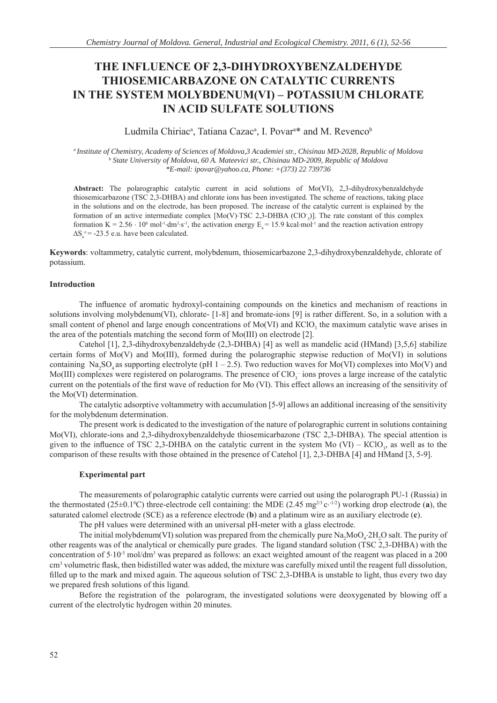# **THE INFLUENCE OF 2,3-DIHYDROXYBENZALDEHYDE THIOSEMICARBAZONE ON CATALYTIC CURRENTS IN THE SYSTEM MOLYBDENUM(VI) – POTASSIUM CHLORATE IN ACID SULFATE SOLUTIONS**

Ludmila Chiriac<sup>a</sup>, Tatiana Cazac<sup>a</sup>, I. Povar<sup>a\*</sup> and M. Revenco<sup>b</sup>

*a Institute of Chemistry, Academy of Sciences of Moldova,3 Academiei str., Chisinau MD-2028, Republic of Moldova* <sup>*b*</sup> State University of Moldova, 60 A. Mateevici str., Chisinau MD-2009, Republic of Moldova *\*E-mail: ipovar@yahoo.ca, Phone: +(373) 22 739736*

**Abstract:** The polarographic catalytic current in acid solutions of Mo(VI), 2,3-dihydroxybenzaldehyde thiosemicarbazone (TSC 2,3-DHBA) and chlorate ions has been investigated. The scheme of reactions, taking place in the solutions and on the electrode, has been proposed. The increase of the catalytic current is explained by the formation of an active intermediate complex  $[Mo(V)$ ·TSC 2,3-DHBA (ClO-<sub>3</sub>)]. The rate constant of this complex formation K = 2.56 ⋅ 10<sup>6</sup> mol<sup>-1</sup>⋅dm<sup>3</sup>⋅s<sup>-1</sup>, the activation energy E<sub>a</sub> = 15.9 kcal⋅mol<sup>-1</sup> and the reaction activation entropy  $\Delta S_a^*$  = -23.5 e.u. have been calculated.

**Keywords**: voltammetry, catalytic current, molybdenum, thiosemicarbazone 2,3-dihydroxybenzaldehyde, chlorate of potassium.

# **Introduction**

The influence of aromatic hydroxyl-containing compounds on the kinetics and mechanism of reactions in solutions involving molybdenum(VI), chlorate- [1-8] and bromate-ions [9] is rather different. So, in a solution with a small content of phenol and large enough concentrations of  $Mo(VI)$  and  $KClO<sub>3</sub>$  the maximum catalytic wave arises in the area of the potentials matching the second form of Мo(III) on electrode [2].

Catehol [1], 2,3-dihydroxybenzaldehyde (2,3-DHBA) [4] as well as mandelic acid (НМаnd) [3,5,6] stabilize certain forms of Мo(V) and Мо(III), formed during the polarographic stepwise reduction of Мo(VI) in solutions containing  $Na<sub>2</sub>SO<sub>4</sub>$  as supporting electrolyte (pH 1 – 2.5). Two reduction waves for Mo(VI) complexes into Mo(V) and Mo(III) complexes were registered on polarograms. The presence of  $ClO<sub>3</sub><sup>-</sup>$  ions proves a large increase of the catalytic current on the potentials of the first wave of reduction for Mo (VI). This effect allows an increasing of the sensitivity of the Мо(VI) determination.

The catalytic adsorptive voltammetry with accumulation [5-9] allows an additional increasing of the sensitivity for the molybdenum determination.

The present work is dedicated to the investigation of the nature of polarographic current in solutions containing Mo(VI), chlorate-ions and 2,3-dihydroxybenzaldehyde thiosemicarbazone (TSC 2,3-DHBA). The special attention is given to the influence of TSC 2,3-DHBA on the catalytic current in the system Mo  $(VI)$  – KClO<sub>3</sub>, as well as to the comparison of these results with those obtained in the presence of Catehol [1], 2,3-DHBA [4] and HMand [3, 5-9].

## **Experimental part**

The measurements of polarographic catalytic currents were carried out using the polarograph PU-1 (Russia) in the thermostated ( $25\pm0.1^{\circ}$ C) three-electrode cell containing: the MDE ( $2.45 \text{ mg}^{2/3}$  c⋅ $^{-1/2}$ ) working drop electrode (a), the saturated calomel electrode (SCE) as a reference electrode (**b**) and a platinum wire as an auxiliary electrode (**c**).

The pH values were determined with an universal pH-meter with a glass electrode.

The initial molybdenum(VI) solution was prepared from the chemically pure  $Na_2MoO_4$ :  $2H_2O$  salt. The purity of other reagents was of the analytical or chemically pure grades. The ligand standard solution (TSC 2,3-DHBA) with the concentration of 5⋅10<sup>-5</sup> mol/dm<sup>3</sup> was prepared as follows: an exact weighted amount of the reagent was placed in a 200 cm<sup>3</sup> volumetric flask, then bidistilled water was added, the mixture was carefully mixed until the reagent full dissolution, filled up to the mark and mixed again. The aqueous solution of TSC 2,3-DHBA is unstable to light, thus every two day we prepared fresh solutions of this ligand.

Before the registration of the polarogram, the investigated solutions were deoxygenated by blowing off a current of the electrolytic hydrogen within 20 minutes.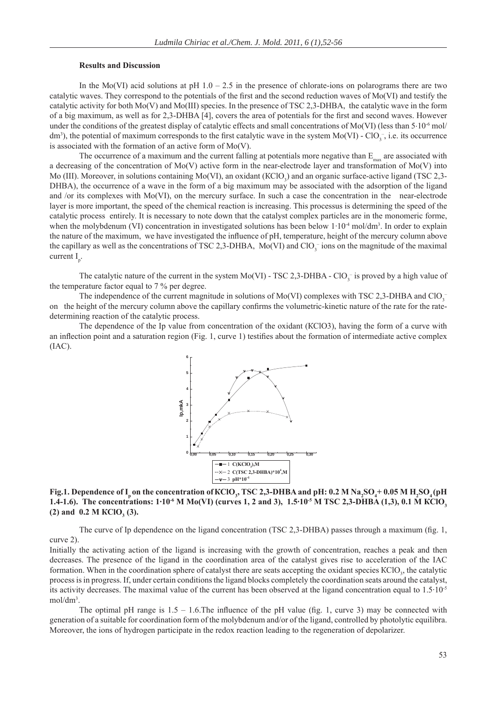#### **Results and Discussion**

In the Mo(VI) acid solutions at pH  $1.0 - 2.5$  in the presence of chlorate-ions on polarograms there are two catalytic waves. They correspond to the potentials of the first and the second reduction waves of Mo(VI) and testify the catalytic activity for both Мo(V) and Мо(III) species. In the presence of TSC 2,3-DHBA, the catalytic wave in the form of a big maximum, as well as for 2,3-DHBA [4], covers the area of potentials for the first and second waves. However under the conditions of the greatest display of catalytic effects and small concentrations of Mo(VI) (less than  $5 \cdot 10^{-6}$  mol/ dm<sup>3</sup>), the potential of maximum corresponds to the first catalytic wave in the system  $Mo(VI)$  -  $ClO<sub>3</sub>^-$ , i.e. its occurrence is associated with the formation of an active form of Мо(V).

The occurrence of a maximum and the current falling at potentials more negative than  $E_{\text{max}}$  are associated with a decreasing of the concentration of Мo(V) active form in the near-electrode layer and transformation of Мо(V) into Mo (III). Moreover, in solutions containing Mo(VI), an oxidant (KClO<sub>3</sub>) and an organic surface-active ligand (TSC 2,3-DHBA), the occurrence of a wave in the form of a big maximum may be associated with the adsorption of the ligand and /or its complexes with Mo(VI), on the mercury surface. In such a case the concentration in the near-electrode layer is more important, the speed of the chemical reaction is increasing. This processus is determining the speed of the catalytic process entirely. It is necessary to note down that the catalyst complex particles are in the monomeric forme, when the molybdenum (VI) concentration in investigated solutions has been below  $1 \cdot 10^{-4}$  mol/dm<sup>3</sup>. In order to explain the nature of the maximum, we have investigated the influence of pH, temperature, height of the mercury column above the capillary as well as the concentrations of TSC 2,3-DHBA,  $Mo(VI)$  and  $ClO<sub>3</sub><sup>-</sup>$  ions on the magnitude of the maximal current  $I_p$ .

The catalytic nature of the current in the system Mo(VI) - TSC 2,3-DHBA - ClO<sub>3</sub> is proved by a high value of the temperature factor equal to 7 % per degree.

The independence of the current magnitude in solutions of Mo(VI) complexes with TSC 2,3-DHBA and ClO<sub>3</sub><sup>-</sup> on the height of the mercury column above the capillary confirms the volumetric-kinetic nature of the rate for the ratedetermining reaction of the catalytic process.

The dependence of the Ip value from concentration of the oxidant (KClO3), having the form of a curve with an inflection point and a saturation region (Fig. 1, curve 1) testifies about the formation of intermediate active complex (IAC).



**Fig.1.** Dependence of  $I_p$  on the concentration of KClO<sub>3</sub>, TSC 2,3-DHBA and pH: 0.2 M Na<sub>2</sub>SO<sub>4</sub>+0.05 M H<sub>2</sub>SO<sub>4</sub>(pH **1.4-1.6). The concentrations: 1·10-6 М Mo(VI) (curves 1, 2 and 3), 1.5·10-5 М TSC 2,3-DHBA (1,3), 0.1 М КСlO3**  $(2)$  and  $0.2$  **M KClO**<sub>3</sub> $(3)$ **.** 

The curve of Ip dependence on the ligand concentration (TSC 2,3-DHBA) passes through a maximum (fig. 1, curve 2).

Initially the activating action of the ligand is increasing with the growth of concentration, reaches a peak and then decreases. The presence of the ligand in the coordination area of the catalyst gives rise to acceleration of the IAC formation. When in the coordination sphere of catalyst there are seats accepting the oxidant species KClO<sub>3</sub>, the catalytic process is in progress. If, under certain conditions the ligand blocks completely the coordination seats around the catalyst, its activity decreases. The maximal value of the current has been observed at the ligand concentration equal to 1.5·10-5 mol/dm3 .

The optimal pH range is  $1.5 - 1.6$ . The influence of the pH value (fig. 1, curve 3) may be connected with generation of a suitable for coordination form of the molybdenum and/or of the ligand, controlled by photolytic equilibra. Moreover, the ions of hydrogen participate in the redox reaction leading to the regeneration of depolarizer.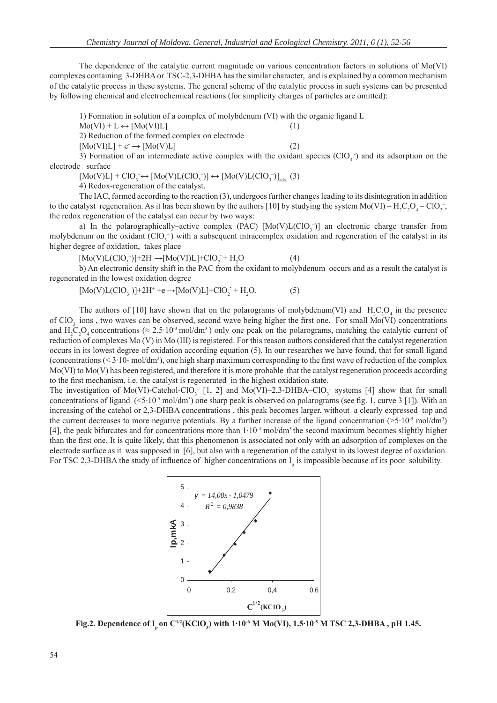The dependence of the catalytic current magnitude on various concentration factors in solutions of Mo(VI) complexes containing 3-DHBA or TSC-2,3-DHBA has the similar character, and is explained by a common mechanism of the catalytic process in these systems. The general scheme of the catalytic process in such systems can be presented by following chemical and electrochemical reactions (for simplicity charges of particles are omitted):

1) Formation in solution of a complex of molybdenum (VI) with the organic ligand L

 $Mo(VI) + L \leftrightarrow [Mo(VI)L]$  (1)

2) Reduction of the formed complex on electrode

 $[Mo(VI)L] + e \rightarrow [Mo(V)L]$  (2)

3) Formation of an intermediate active complex with the oxidant species  $(CIO<sub>3</sub>$  and its adsorption on the electrode surface

 $[Mo(V)L] + ClO<sub>3</sub> \leftrightarrow [Mo(V)L(ClO<sub>3</sub>)] \leftrightarrow [Mo(V)L(ClO<sub>3</sub>)]<sub>ads.</sub>$  (3)

4) Redox-regeneration of the catalyst.

The IAC, formed according to the reaction (3), undergoes further changes leading to its disintegration in addition to the catalyst regeneration. As it has been shown by the authors [10] by studying the system  $Mo(VI) - H_2C_2O_4 - ClO_3^-$ , the redox regeneration of the catalyst can occur by two ways:

a) In the polarographically–active complex (PAC)  $[Mo(V)L(CIO<sub>3</sub>)]$  an electronic charge transfer from molybdenum on the oxidant  $(CIO_3^-)$  with a subsequent intracomplex oxidation and regeneration of the catalyst in its higher degree of oxidation, takes place

 $[Mo(V)L(CIO<sub>3</sub><sup>-</sup>)]+2H<sup>+</sup>\rightarrow [Mo(VI)L]+ClO<sub>2</sub><sup>-</sup> + H<sub>2</sub>$  $(4)$ 

b) An electronic density shift in the PAC from the oxidant to molybdenum occurs and as a result the catalyst is regenerated in the lowest oxidation degree

$$
[Mo(V)L(CIO3-)]+2H++e \rightarrow [Mo(V)L]+ClO2+ +H2O.
$$
 (5)

The authors of [10] have shown that on the polarograms of molybdenum(VI) and  $H_2C_2O_4$  in the presence of  $ClO_3^-$  ions, two waves can be observed, second wave being higher the first one. For small Mo(VI) concentrations and  $H_2C_2O_4$  concentrations ( $\approx 2.5 \cdot 10^{-3}$  mol/dm<sup>3</sup>) only one peak on the polarograms, matching the catalytic current of reduction of complexes Мо (V) in Мо (III) is registered. For this reason authors considered that the catalyst regeneration occurs in its lowest degree of oxidation according equation (5). In our researches we have found, that for small ligand (concentrations  $( $3 \cdot 10$ - mol/dm<sup>3</sup>), one high sharp maximum corresponding to the first wave of reduction of the complex$ Mo(VI) to Mo(V) has been registered, and therefore it is more probable that the catalyst regeneration proceeds according to the first mechanism, i.e. the catalyst is regenerated in the highest oxidation state.

The investigation of Mo(VI)-Catehol-ClO<sub>3</sub><sup>-</sup> [1, 2] and Mo(VI)–2,3-DHBA–ClO<sub>3</sub><sup>-</sup> systems [4] show that for small concentrations of ligand  $(\leq 5.10^{-5} \text{ mol/dm}^3)$  one sharp peak is observed on polarograms (see fig. 1, curve 3 [1]). With an increasing of the catehol or 2,3-DHBA concentrations , this peak becomes larger, without a clearly expressed top and the current decreases to more negative potentials. By a further increase of the ligand concentration ( $>5.10^5$  mol/dm<sup>3</sup>) [4], the peak bifurcates and for concentrations more than  $1 \cdot 10^{-4}$  mol/dm<sup>3</sup> the second maximum becomes slightly higher than the first one. It is quite likely, that this phenomenon is associated not only with an adsorption of complexes on the electrode surface as it was supposed in [6], but also with a regeneration of the catalyst in its lowest degree of oxidation. For TSC 2,3-DHBA the study of influence of higher concentrations on  $I_p$  is impossible because of its poor solubility.



**Fig.2. Dependence of Ip on С1/2(KСlO3 ) with 1·10-6 М Мо(VI), 1.5·10-5 М TSC 2,3-DHBA , pH 1.45.**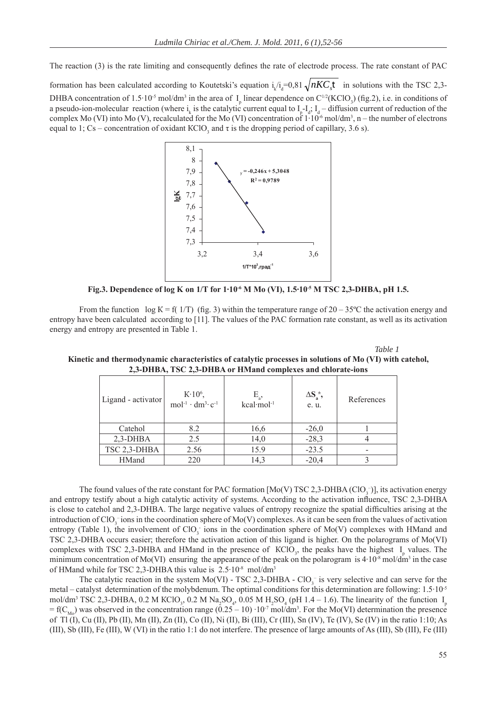The reaction (3) is the rate limiting and consequently defines the rate of electrode process. The rate constant of PAC

formation has been calculated according to Koutetski's equation  $i_k/i_d = 0.81 \sqrt{nKC_s t}$  in solutions with the TSC 2,3-DHBA concentration of 1.5·10<sup>-5</sup> mol/dm<sup>3</sup> in the area of  $I<sub>p</sub>$  linear dependence on C<sup>1/2</sup>(KClO<sub>3</sub>) (fig.2), i.e. in conditions of a pseudo-ion-molecular reaction (where  $i_k$  is the catalytic current equal to  $I_p - I_d$ ;  $I_d$  – diffusion current of reduction of the complex Mo (VI) into Mo (V), recalculated for the Mo (VI) concentration of  $1 \cdot 10^{-6}$  mol/dm<sup>3</sup>, n – the number of electrons equal to 1; Cs – concentration of oxidant KClO<sub>3</sub> and  $\tau$  is the dropping period of capillary, 3.6 s).



**Fig.3. Dependence of log K on 1/T for 1·10<sup>-6</sup> M Mo (VI), 1.5·10<sup>-5</sup> M TSC 2,3-DHBA, pH 1.5.** 

From the function log K = f( 1/T) (fig. 3) within the temperature range of  $20 - 35^{\circ}$ C the activation energy and entropy have been calculated according to [11]. The values of the PAC formation rate constant, as well as its activation energy and entropy are presented in Table 1.

 *Table 1* 

| Ligand - activator | $K:10^6$ ,<br>$mol-1 \cdot dm3 \cdot c-1$ | $E_a$ ,<br>kcal·mol <sup>-1</sup> | $\Delta S_a^{\pm}$ ,<br>e. u. | References |
|--------------------|-------------------------------------------|-----------------------------------|-------------------------------|------------|
| Catehol            | 8.2                                       | 16,6                              | $-26,0$                       |            |
| $2,3-DHBA$         | 2.5                                       | 14,0                              | $-28,3$                       |            |
| TSC 2,3-DHBA       | 2.56                                      | 15.9                              | $-23.5$                       |            |
| <b>HMand</b>       | 220                                       | 14,3                              | $-20,4$                       |            |

**Kinetic and thermodynamic characteristics of catalytic processes in solutions of Мо (VI) with catehol, 2,3-DHBA, TSC 2,3-DHBA or НMаnd complexes and chlorate-ions**

The found values of the rate constant for PAC formation [Mo(V) TSC 2,3-DHBA (ClO<sub>3</sub><sup>-</sup>)], its activation energy and entropy testify about a high catalytic activity of systems. According to the activation influence, TSC 2.3-DHBA is close to catehol and 2,3-DHBA. The large negative values of entropy recognize the spatial difficulties arising at the introduction of ClO<sub>3</sub> ions in the coordination sphere of Mo(V) complexes. As it can be seen from the values of activation entropy (Table 1), the involvement of  $ClO<sub>3</sub>$  ions in the coordination sphere of Mo(V) complexes with HMand and TSC 2,3-DHBA occurs easier; therefore the activation action of this ligand is higher. On the polarograms of Мо(VI) complexes with TSC 2,3-DHBA and HMand in the presence of  $KClO<sub>3</sub>$ , the peaks have the highest  $I<sub>p</sub>$  values. The minimum concentration of Mo(VI) ensuring the appearance of the peak on the polarogram is  $4 \cdot 10^{-8}$  mol/dm<sup>3</sup> in the case of HMand while for TSC 2,3-DHBA this value is  $2.5 \cdot 10^{-8}$  mol/dm<sup>3</sup>

The catalytic reaction in the system Mo(VI) - TSC 2,3-DHBA -  $ClO<sub>3</sub>^-$  is very selective and can serve for the metal – catalyst determination of the molybdenum. The optimal conditions for this determination are following: 1.5·10-5 mol/dm<sup>3</sup> TSC 2,3-DHBA, 0.2 M KClO<sub>3</sub>, 0.2 M Na<sub>2</sub>SO<sub>4</sub>, 0.05 M H<sub>2</sub>SO<sub>4</sub> (pH 1.4 – 1.6). The linearity of the function I<sub>p</sub> = f(C<sub>Mo</sub>) was observed in the concentration range  $(0.25 - 10) \cdot 10^{-7}$  mol/dm<sup>3</sup>. For the Mo(VI) determination the presence of Tl (I), Cu (II), Pb (II), Mn (II), Zn (II), Co (II), Ni (II), Bi (III), Cr (III), Sn (IV), Te (IV), Se (IV) in the ratio 1:10; As (III), Sb (III), Fe (III), W (VI) in the ratio 1:1 do not interfere. The presence of large amounts of As (III), Sb (III), Fe (III)